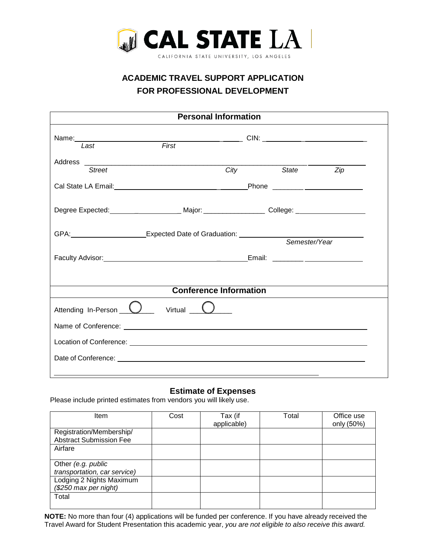

# **ACADEMIC TRAVEL SUPPORT APPLICATION FOR PROFESSIONAL DEVELOPMENT**

| <b>Personal Information</b>                                                                         |                  |  |           |  |  |  |  |
|-----------------------------------------------------------------------------------------------------|------------------|--|-----------|--|--|--|--|
| First<br>Last                                                                                       |                  |  |           |  |  |  |  |
| Street                                                                                              | <b>City City</b> |  | State Zip |  |  |  |  |
|                                                                                                     |                  |  |           |  |  |  |  |
| Degree Expected: ________________________ Major: ____________________ College: ____________________ |                  |  |           |  |  |  |  |
| GPA: CPA: COMPLEXpected Date of Graduation:<br>Semester/Year                                        |                  |  |           |  |  |  |  |
|                                                                                                     |                  |  |           |  |  |  |  |
| <b>Conference Information</b>                                                                       |                  |  |           |  |  |  |  |
| Attending In-Person U Virtual 0                                                                     |                  |  |           |  |  |  |  |
|                                                                                                     |                  |  |           |  |  |  |  |
|                                                                                                     |                  |  |           |  |  |  |  |
|                                                                                                     |                  |  |           |  |  |  |  |

### **Estimate of Expenses**

Please include printed estimates from vendors you will likely use.

| Item                                                       | Cost | Tax (if<br>applicable) | Total | Office use<br>only (50%) |
|------------------------------------------------------------|------|------------------------|-------|--------------------------|
| Registration/Membership/<br><b>Abstract Submission Fee</b> |      |                        |       |                          |
| Airfare                                                    |      |                        |       |                          |
| Other (e.g. public<br>transportation, car service)         |      |                        |       |                          |
| Lodging 2 Nights Maximum<br>$(\$250$ max per night)        |      |                        |       |                          |
| Total                                                      |      |                        |       |                          |

**NOTE:** No more than four (4) applications will be funded per conference. If you have already received the Travel Award for Student Presentation this academic year, *you are not eligible to also receive this award.*